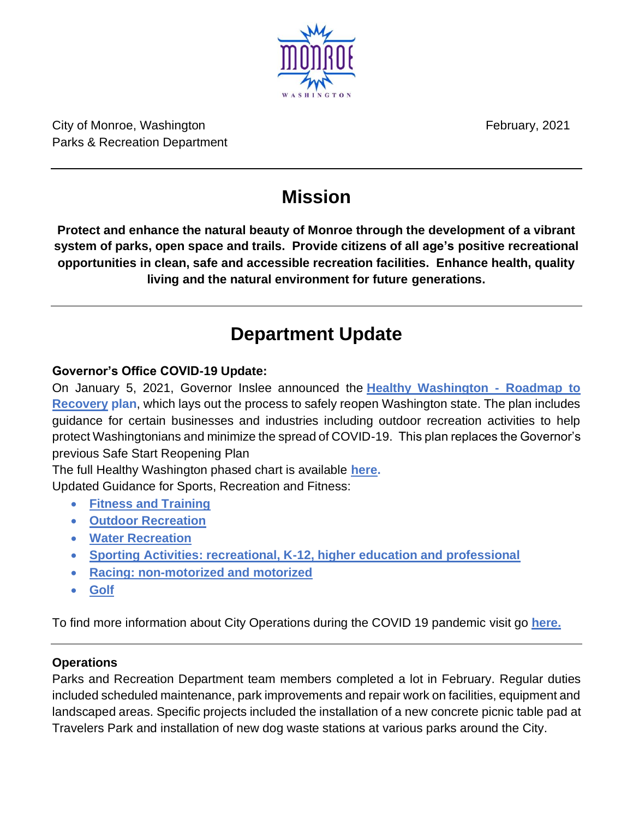City of Monroe, Washington February, 2021 Parks & Recreation Department

# **Mission**

**Protect and enhance the natural beauty of Monroe through the development of a vibrant system of parks, open space and trails. Provide citizens of all age's positive recreational opportunities in clean, safe and accessible recreation facilities. Enhance health, quality living and the natural environment for future generations.**

# **Department Update**

## **Governor's Office COVID-19 Update:**

On January 5, 2021, Governor Inslee announced the **[Healthy Washington -](https://gcc02.safelinks.protection.outlook.com/?url=https%3A%2F%2Fwww.governor.wa.gov%2Fsites%2Fdefault%2Ffiles%2FHealthyWashington.pdf&data=04%7C01%7Ckdarrow%40monroewa.gov%7C02a7d1babbdb4440a7ee08d8bd75631f%7C9804b9a407b049bfa4c8f793601dc1a9%7C0%7C0%7C637467659161867846%7CUnknown%7CTWFpbGZsb3d8eyJWIjoiMC4wLjAwMDAiLCJQIjoiV2luMzIiLCJBTiI6Ik1haWwiLCJXVCI6Mn0%3D%7C1000&sdata=ib3pfbTShkBVG3ScdVxLPekECu3rdJCOlCjbgCU27Vw%3D&reserved=0) Roadmap to [Recovery](https://gcc02.safelinks.protection.outlook.com/?url=https%3A%2F%2Fwww.governor.wa.gov%2Fsites%2Fdefault%2Ffiles%2FHealthyWashington.pdf&data=04%7C01%7Ckdarrow%40monroewa.gov%7C02a7d1babbdb4440a7ee08d8bd75631f%7C9804b9a407b049bfa4c8f793601dc1a9%7C0%7C0%7C637467659161867846%7CUnknown%7CTWFpbGZsb3d8eyJWIjoiMC4wLjAwMDAiLCJQIjoiV2luMzIiLCJBTiI6Ik1haWwiLCJXVCI6Mn0%3D%7C1000&sdata=ib3pfbTShkBVG3ScdVxLPekECu3rdJCOlCjbgCU27Vw%3D&reserved=0) plan**, which lays out the process to safely reopen Washington state. The plan includes guidance for certain businesses and industries including outdoor recreation activities to help protect Washingtonians and minimize the spread of COVID-19. This plan replaces the Governor's previous Safe Start Reopening Plan

The full Healthy Washington phased chart is available **[here.](https://gcc02.safelinks.protection.outlook.com/?url=https%3A%2F%2Fwww.governor.wa.gov%2Fsites%2Fdefault%2Ffiles%2FHealthyWashingtonPhasedChart.pdf&data=04%7C01%7Ckdarrow%40monroewa.gov%7C02a7d1babbdb4440a7ee08d8bd75631f%7C9804b9a407b049bfa4c8f793601dc1a9%7C0%7C0%7C637467659161867846%7CUnknown%7CTWFpbGZsb3d8eyJWIjoiMC4wLjAwMDAiLCJQIjoiV2luMzIiLCJBTiI6Ik1haWwiLCJXVCI6Mn0%3D%7C1000&sdata=LP0q%2FHfj2rpgBWBmDH6EJndt4qSgfEfrjzyZFRLOObo%3D&reserved=0)**

Updated Guidance for Sports, Recreation and Fitness:

- **[Fitness and Training](https://gcc02.safelinks.protection.outlook.com/?url=https%3A%2F%2Fwww.governor.wa.gov%2Fsites%2Fdefault%2Ffiles%2FCOVID19%2520Fitness%2520Guidance.pdf&data=04%7C01%7Ckdarrow%40monroewa.gov%7C02a7d1babbdb4440a7ee08d8bd75631f%7C9804b9a407b049bfa4c8f793601dc1a9%7C0%7C0%7C637467659161877801%7CUnknown%7CTWFpbGZsb3d8eyJWIjoiMC4wLjAwMDAiLCJQIjoiV2luMzIiLCJBTiI6Ik1haWwiLCJXVCI6Mn0%3D%7C1000&sdata=n5GR5B8WNSqYKkZHvgCtoMSn4VTwP9e3khcdNJ2Fcwk%3D&reserved=0)**
- **[Outdoor Recreation](https://gcc02.safelinks.protection.outlook.com/?url=https%3A%2F%2Fwww.governor.wa.gov%2Fsites%2Fdefault%2Ffiles%2FCOVID19%2520Outdoor%2520Recreation%2520Guidance.pdf&data=04%7C01%7Ckdarrow%40monroewa.gov%7C02a7d1babbdb4440a7ee08d8bd75631f%7C9804b9a407b049bfa4c8f793601dc1a9%7C0%7C0%7C637467659161877801%7CUnknown%7CTWFpbGZsb3d8eyJWIjoiMC4wLjAwMDAiLCJQIjoiV2luMzIiLCJBTiI6Ik1haWwiLCJXVCI6Mn0%3D%7C1000&sdata=6ydwRiDy3YVPrDVxnJOdoGGaT3CLP9tY9C1iqDoPAnQ%3D&reserved=0)**
- **[Water Recreation](https://gcc02.safelinks.protection.outlook.com/?url=https%3A%2F%2Fwww.governor.wa.gov%2Fsites%2Fdefault%2Ffiles%2FCOVID19%2520Water%2520Recreation%2520Guidance.pdf&data=04%7C01%7Ckdarrow%40monroewa.gov%7C02a7d1babbdb4440a7ee08d8bd75631f%7C9804b9a407b049bfa4c8f793601dc1a9%7C0%7C0%7C637467659161887757%7CUnknown%7CTWFpbGZsb3d8eyJWIjoiMC4wLjAwMDAiLCJQIjoiV2luMzIiLCJBTiI6Ik1haWwiLCJXVCI6Mn0%3D%7C1000&sdata=L5DzUusayypEufU2EvFFpNsfClIhdK%2F8pv0lTrYcZUc%3D&reserved=0)**
- **[Sporting Activities: recreational, K-12, higher education and professional](https://gcc02.safelinks.protection.outlook.com/?url=https%3A%2F%2Fwww.governor.wa.gov%2Fsites%2Fdefault%2Ffiles%2FCOVID19%2520Sporting%2520Activities%2520Guidance.pdf&data=04%7C01%7Ckdarrow%40monroewa.gov%7C02a7d1babbdb4440a7ee08d8bd75631f%7C9804b9a407b049bfa4c8f793601dc1a9%7C0%7C0%7C637467659161887757%7CUnknown%7CTWFpbGZsb3d8eyJWIjoiMC4wLjAwMDAiLCJQIjoiV2luMzIiLCJBTiI6Ik1haWwiLCJXVCI6Mn0%3D%7C1000&sdata=Q%2BUmca941sroUltR9dZKAqhEBd%2FrDflE%2FJGqHrnTzME%3D&reserved=0)**
- **[Racing: non-motorized and motorized](https://gcc02.safelinks.protection.outlook.com/?url=https%3A%2F%2Fwww.governor.wa.gov%2Fsites%2Fdefault%2Ffiles%2FCOVID19%2520Racing%2520Guidance.pdf&data=04%7C01%7Ckdarrow%40monroewa.gov%7C02a7d1babbdb4440a7ee08d8bd75631f%7C9804b9a407b049bfa4c8f793601dc1a9%7C0%7C0%7C637467659161897712%7CUnknown%7CTWFpbGZsb3d8eyJWIjoiMC4wLjAwMDAiLCJQIjoiV2luMzIiLCJBTiI6Ik1haWwiLCJXVCI6Mn0%3D%7C1000&sdata=sCVfcbX65y%2F7P6Wycfk09zbPco3Is1AGSbX%2BDzOrMA4%3D&reserved=0)**
- **[Golf](https://gcc02.safelinks.protection.outlook.com/?url=https%3A%2F%2Fwww.governor.wa.gov%2Fsites%2Fdefault%2Ffiles%2FCOVID19%2520Standard%2520and%2520Mini%2520Golf%2520Guidance.pdf&data=04%7C01%7Ckdarrow%40monroewa.gov%7C02a7d1babbdb4440a7ee08d8bd75631f%7C9804b9a407b049bfa4c8f793601dc1a9%7C0%7C0%7C637467659161897712%7CUnknown%7CTWFpbGZsb3d8eyJWIjoiMC4wLjAwMDAiLCJQIjoiV2luMzIiLCJBTiI6Ik1haWwiLCJXVCI6Mn0%3D%7C1000&sdata=0BmHo%2BuaHzQYAsBU2EFRGG9gt6z26hDWmJzmY1VFAqY%3D&reserved=0)**

To find more information about City Operations during the COVID 19 pandemic visit go **[here.](https://www.monroewa.gov/935/City-Operations-During-COVID-19)**

### **Operations**

Parks and Recreation Department team members completed a lot in February. Regular duties included scheduled maintenance, park improvements and repair work on facilities, equipment and landscaped areas. Specific projects included the installation of a new concrete picnic table pad at Travelers Park and installation of new dog waste stations at various parks around the City.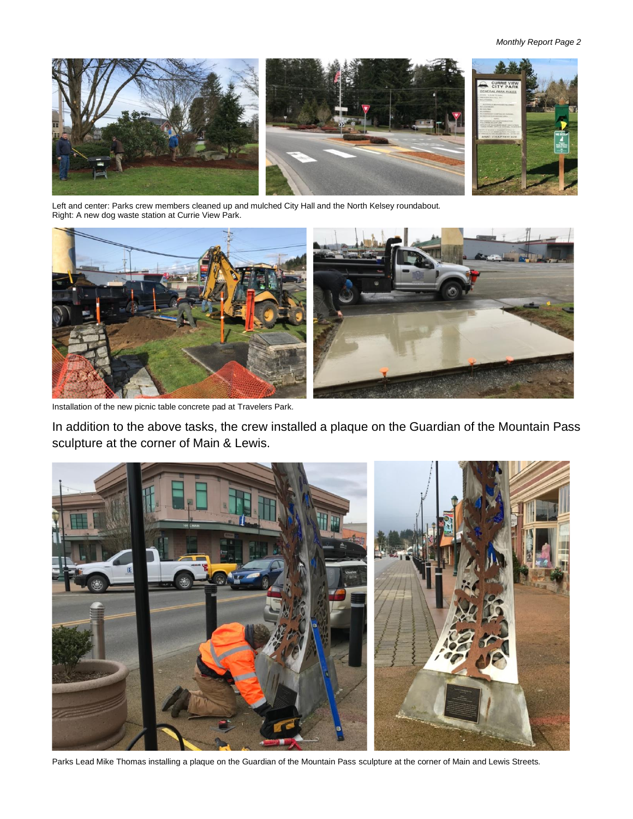

Left and center: Parks crew members cleaned up and mulched City Hall and the North Kelsey roundabout. Right: A new dog waste station at Currie View Park.



Installation of the new picnic table concrete pad at Travelers Park.

In addition to the above tasks, the crew installed a plaque on the Guardian of the Mountain Pass sculpture at the corner of Main & Lewis.



Parks Lead Mike Thomas installing a plaque on the Guardian of the Mountain Pass sculpture at the corner of Main and Lewis Streets.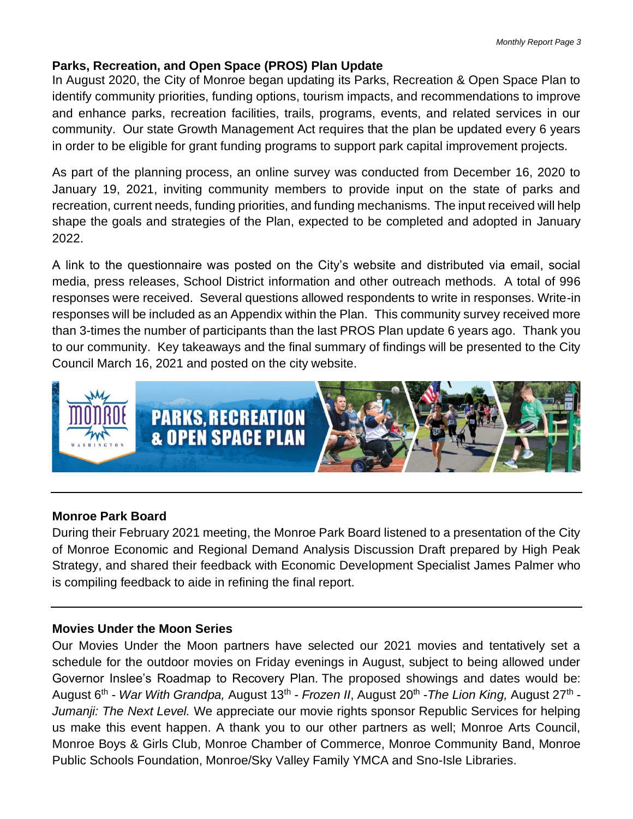#### **Parks, Recreation, and Open Space (PROS) Plan Update**

In August 2020, the City of Monroe began updating its Parks, Recreation & Open Space Plan to identify community priorities, funding options, tourism impacts, and recommendations to improve and enhance parks, recreation facilities, trails, programs, events, and related services in our community. Our state Growth Management Act requires that the plan be updated every 6 years in order to be eligible for grant funding programs to support park capital improvement projects.

As part of the planning process, an online survey was conducted from December 16, 2020 to January 19, 2021, inviting community members to provide input on the state of parks and recreation, current needs, funding priorities, and funding mechanisms. The input received will help shape the goals and strategies of the Plan, expected to be completed and adopted in January 2022.

A link to the questionnaire was posted on the City's website and distributed via email, social media, press releases, School District information and other outreach methods. A total of 996 responses were received. Several questions allowed respondents to write in responses. Write-in responses will be included as an Appendix within the Plan. This community survey received more than 3-times the number of participants than the last PROS Plan update 6 years ago. Thank you to our community. Key takeaways and the final summary of findings will be presented to the City Council March 16, 2021 and posted on the city website.



#### **Monroe Park Board**

During their February 2021 meeting, the Monroe Park Board listened to a presentation of the City of Monroe Economic and Regional Demand Analysis Discussion Draft prepared by High Peak Strategy, and shared their feedback with Economic Development Specialist James Palmer who is compiling feedback to aide in refining the final report.

#### **Movies Under the Moon Series**

Our Movies Under the Moon partners have selected our 2021 movies and tentatively set a schedule for the outdoor movies on Friday evenings in August, subject to being allowed under Governor Inslee's Roadmap to Recovery Plan. The proposed showings and dates would be: August 6<sup>th</sup> - *War With Grandpa,* August 13<sup>th</sup> - *Frozen II*, August 20<sup>th</sup> - The Lion King, August 27<sup>th</sup> -*Jumanji: The Next Level.* We appreciate our movie rights sponsor Republic Services for helping us make this event happen. A thank you to our other partners as well; Monroe Arts Council, Monroe Boys & Girls Club, Monroe Chamber of Commerce, Monroe Community Band, Monroe Public Schools Foundation, Monroe/Sky Valley Family YMCA and Sno-Isle Libraries.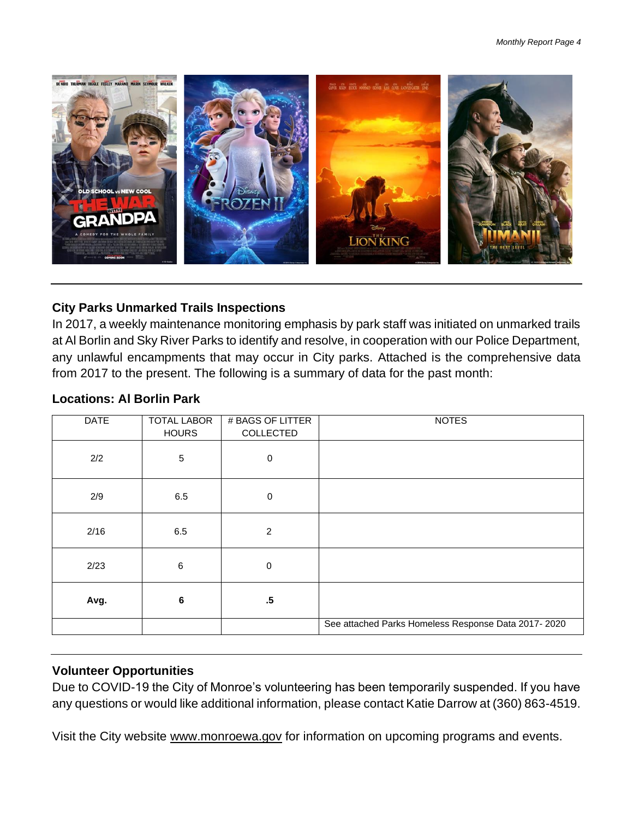

### **City Parks Unmarked Trails Inspections**

In 2017, a weekly maintenance monitoring emphasis by park staff was initiated on unmarked trails at Al Borlin and Sky River Parks to identify and resolve, in cooperation with our Police Department, any unlawful encampments that may occur in City parks. Attached is the comprehensive data from 2017 to the present. The following is a summary of data for the past month:

| <b>DATE</b> | <b>TOTAL LABOR</b><br><b>HOURS</b> | # BAGS OF LITTER<br><b>COLLECTED</b> | <b>NOTES</b>                                        |
|-------------|------------------------------------|--------------------------------------|-----------------------------------------------------|
| 2/2         | $\sqrt{5}$                         | $\mathbf 0$                          |                                                     |
| 2/9         | 6.5                                | $\mathbf 0$                          |                                                     |
| 2/16        | 6.5                                | $\overline{2}$                       |                                                     |
| 2/23        | $\,6\,$                            | $\mathbf 0$                          |                                                     |
| Avg.        | 6                                  | $.5\,$                               |                                                     |
|             |                                    |                                      | See attached Parks Homeless Response Data 2017-2020 |

### **Locations: Al Borlin Park**

#### **Volunteer Opportunities**

Due to COVID-19 the City of Monroe's volunteering has been temporarily suspended. If you have any questions or would like additional information, please contact Katie Darrow at (360) 863-4519.

Visit the City website [www.monroewa.gov](http://www.monroewa.gov/) for information on upcoming programs and events.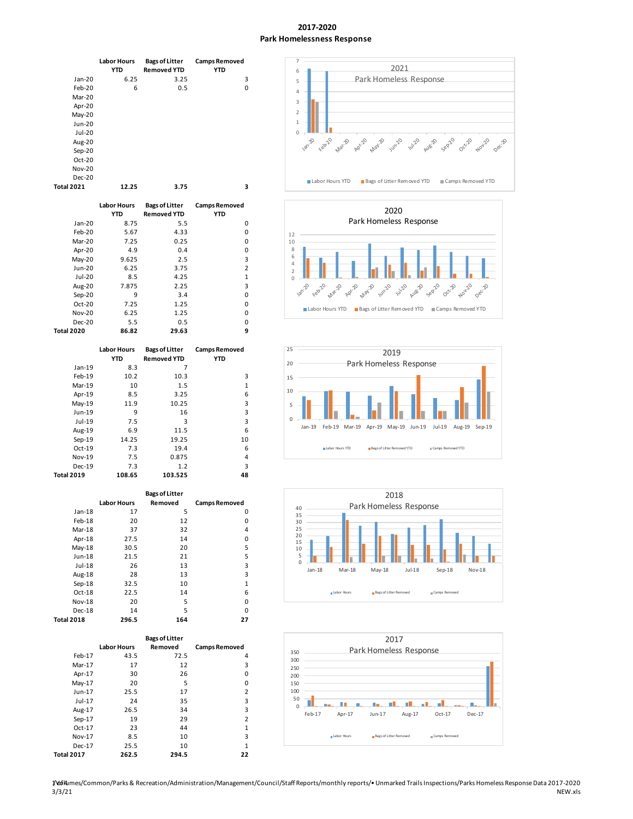#### **2017-2020 Park Homelessness Response**

|                   | <b>Labor Hours</b><br><b>YTD</b> | <b>Bags of Litter</b><br><b>Removed YTD</b> | <b>Camps Removed</b><br><b>YTD</b> |
|-------------------|----------------------------------|---------------------------------------------|------------------------------------|
| $Jan-20$          | 6.25                             | 3.25                                        | 3                                  |
| $Feb-20$          | 6                                | 0.5                                         | 0                                  |
| Mar-20            |                                  |                                             |                                    |
| Apr-20            |                                  |                                             |                                    |
| $May-20$          |                                  |                                             |                                    |
| $Jun-20$          |                                  |                                             |                                    |
| Jul-20            |                                  |                                             |                                    |
| Aug-20            |                                  |                                             |                                    |
| Sep-20            |                                  |                                             |                                    |
| Oct-20            |                                  |                                             |                                    |
| <b>Nov-20</b>     |                                  |                                             |                                    |
| Dec-20            |                                  |                                             |                                    |
| <b>Total 2021</b> | 12.25                            | 3.75                                        | з                                  |

|                   | <b>Labor Hours</b><br><b>YTD</b> | <b>Bags of Litter</b><br><b>Removed YTD</b> | <b>Camps Removed</b><br><b>YTD</b> |
|-------------------|----------------------------------|---------------------------------------------|------------------------------------|
| $Jan-20$          | 8.75                             | 5.5                                         | 0                                  |
| Feb-20            | 5.67                             | 4.33                                        | 0                                  |
| $Mar-20$          | 7.25                             | 0.25                                        | 0                                  |
| Apr-20            | 4.9                              | 0.4                                         | 0                                  |
| $May-20$          | 9.625                            | 2.5                                         | 3                                  |
| Jun-20            | 6.25                             | 3.75                                        | $\overline{2}$                     |
| Jul-20            | 8.5                              | 4.25                                        | 1                                  |
| Aug-20            | 7.875                            | 2.25                                        | 3                                  |
| Sep-20            | 9                                | 3.4                                         | 0                                  |
| Oct-20            | 7.25                             | 1.25                                        | 0                                  |
| <b>Nov-20</b>     | 6.25                             | 1.25                                        | 0                                  |
| Dec-20            | 5.5                              | 0.5                                         | O                                  |
| <b>Total 2020</b> | 86.82                            | 29.63                                       | 9                                  |

|                   | <b>Labor Hours</b><br><b>YTD</b> | <b>Bags of Litter</b><br><b>Removed YTD</b> | <b>Camps Removed</b><br><b>YTD</b> |  |
|-------------------|----------------------------------|---------------------------------------------|------------------------------------|--|
| $Jan-19$          | 8.3                              | 7                                           |                                    |  |
| Feb-19            | 10.2                             | 10.3                                        | 3                                  |  |
| $Mar-19$          | 10                               | 1.5                                         | 1                                  |  |
| Apr-19            | 8.5                              | 3.25                                        | 6                                  |  |
| $May-19$          | 11.9                             | 10.25                                       | 3                                  |  |
| Jun-19            | 9                                | 16                                          | 3                                  |  |
| $Jul-19$          | 7.5                              | 3                                           | 3                                  |  |
| Aug-19            | 6.9                              | 11.5                                        | 6                                  |  |
| $Sep-19$          | 14.25                            | 19.25                                       | 10                                 |  |
| Oct-19            | 7.3                              | 19.4                                        | 6                                  |  |
| <b>Nov-19</b>     | 7.5                              | 0.875                                       | 4                                  |  |
| Dec-19            | 7.3                              | 1.2                                         | 3                                  |  |
| <b>Total 2019</b> | 108.65                           | 103.525                                     | 48                                 |  |

| <b>Bags of Litter</b> |                    |         |                      |  |  |
|-----------------------|--------------------|---------|----------------------|--|--|
|                       | <b>Labor Hours</b> | Removed | <b>Camps Removed</b> |  |  |
| $Jan-18$              | 17                 | 5       | 0                    |  |  |
| $Feb-18$              | 20                 | 12      | 0                    |  |  |
| $Mar-18$              | 37                 | 32      | 4                    |  |  |
| Apr-18                | 27.5               | 14      | 0                    |  |  |
| $May-18$              | 30.5               | 20      | 5                    |  |  |
| $Jun-18$              | 21.5               | 21      | 5                    |  |  |
| $Jul-18$              | 26                 | 13      | 3                    |  |  |
| Aug-18                | 28                 | 13      | 3                    |  |  |
| $Sep-18$              | 32.5               | 10      | $\mathbf{1}$         |  |  |
| $Oct-18$              | 22.5               | 14      | 6                    |  |  |
| <b>Nov-18</b>         | 20                 | 5       | 0                    |  |  |
| $Dec-18$              | 14                 | 5       | 0                    |  |  |
| <b>Total 2018</b>     | 296.5              | 164     | 27                   |  |  |

|                   |                    | <b>Bags of Litter</b> |                      |
|-------------------|--------------------|-----------------------|----------------------|
|                   | <b>Labor Hours</b> | Removed               |                      |
|                   |                    |                       | <b>Camps Removed</b> |
| Feb-17            | 43.5               | 72.5                  | 4                    |
| $Mar-17$          | 17                 | 12                    | 3                    |
| Apr-17            | 30                 | 26                    | 0                    |
| $May-17$          | 20                 | 5                     | 0                    |
| $Jun-17$          | 25.5               | 17                    | 2                    |
| $Jul-17$          | 24                 | 35                    | 3                    |
| Aug-17            | 26.5               | 34                    | 3                    |
| $Sep-17$          | 19                 | 29                    | $\overline{2}$       |
| Oct-17            | 23                 | 44                    | 1                    |
| Nov-17            | 8.5                | 10                    | 3                    |
| Dec-17            | 25.5               | 10                    | 1                    |
| <b>Total 2017</b> | 262.5              | 294.5                 | 22                   |









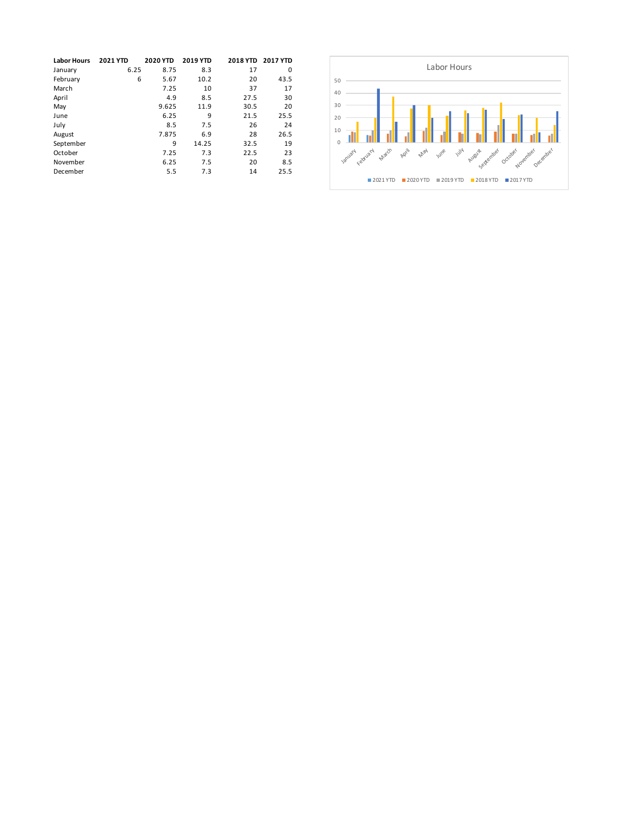| <b>Labor Hours</b> | <b>2021 YTD</b> | <b>2020 YTD</b> | <b>2019 YTD</b> |      | 2018 YTD 2017 YTD |
|--------------------|-----------------|-----------------|-----------------|------|-------------------|
| January            | 6.25            | 8.75            | 8.3             | 17   | $\Omega$          |
| February           | 6               | 5.67            | 10.2            | 20   | 43.5              |
| March              |                 | 7.25            | 10              | 37   | 17                |
| April              |                 | 4.9             | 8.5             | 27.5 | 30                |
| May                |                 | 9.625           | 11.9            | 30.5 | 20                |
| June               |                 | 6.25            | 9               | 21.5 | 25.5              |
| July               |                 | 8.5             | 7.5             | 26   | 24                |
| August             |                 | 7.875           | 6.9             | 28   | 26.5              |
| September          |                 | 9               | 14.25           | 32.5 | 19                |
| October            |                 | 7.25            | 7.3             | 22.5 | 23                |
| November           |                 | 6.25            | 7.5             | 20   | 8.5               |
| December           |                 | 5.5             | 7.3             | 14   | 25.5              |

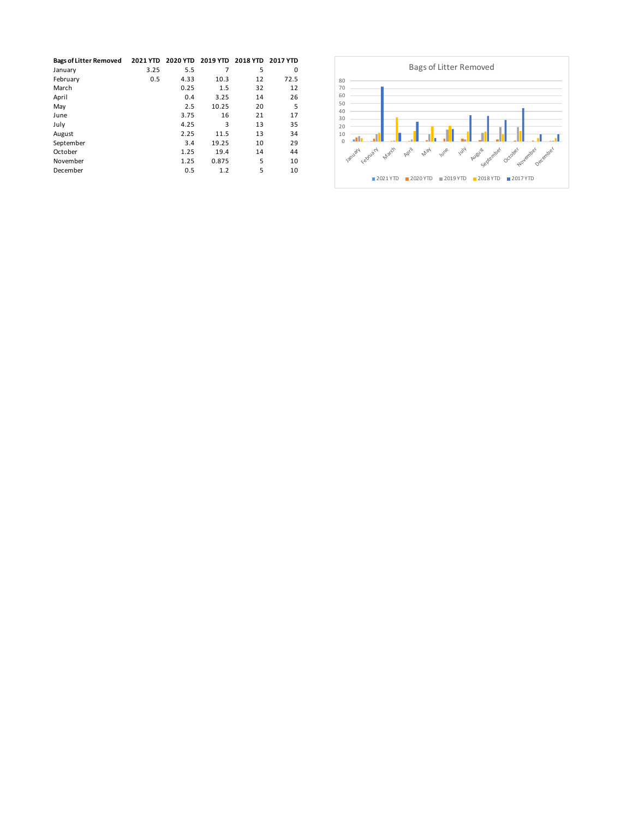| <b>Bags of Litter Removed</b> | <b>2021 YTD</b> |      |       | 2020 YTD 2019 YTD 2018 YTD 2017 YTD |      |
|-------------------------------|-----------------|------|-------|-------------------------------------|------|
| January                       | 3.25            | 5.5  |       | 5                                   | 0    |
| February                      | 0.5             | 4.33 | 10.3  | 12                                  | 72.5 |
| March                         |                 | 0.25 | 1.5   | 32                                  | 12   |
| April                         |                 | 0.4  | 3.25  | 14                                  | 26   |
| May                           |                 | 2.5  | 10.25 | 20                                  | 5    |
| June                          |                 | 3.75 | 16    | 21                                  | 17   |
| July                          |                 | 4.25 | 3     | 13                                  | 35   |
| August                        |                 | 2.25 | 11.5  | 13                                  | 34   |
| September                     |                 | 3.4  | 19.25 | 10                                  | 29   |
| October                       |                 | 1.25 | 19.4  | 14                                  | 44   |
| November                      |                 | 1.25 | 0.875 | 5                                   | 10   |
| December                      |                 | 0.5  | 1.2   | 5                                   | 10   |